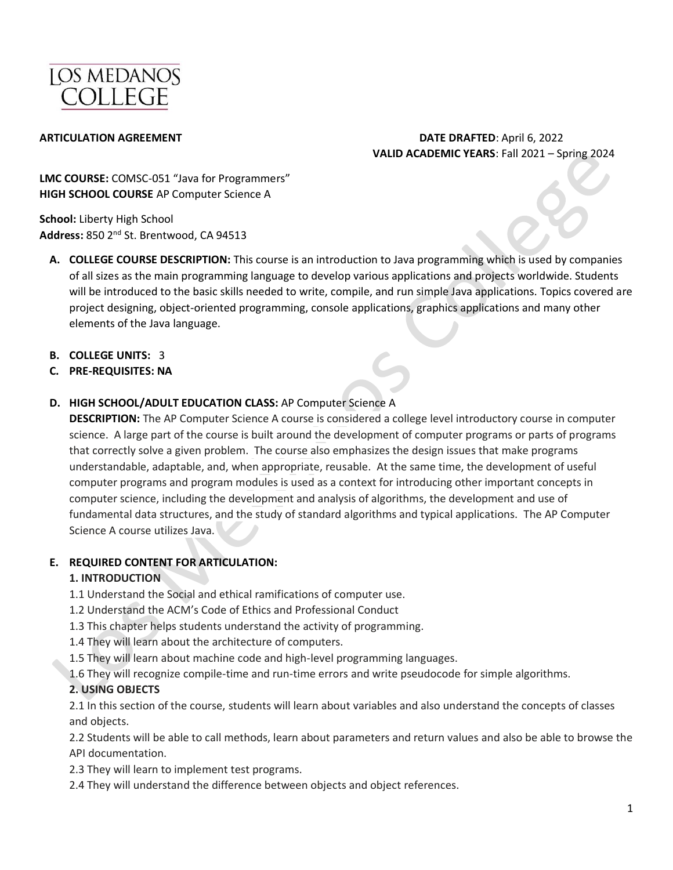

### **ARTICULATION AGREEMENT DATE DRAFTED**: April 6, 2022 **VALID ACADEMIC YEARS**: Fall 2021 – Spring 2024

**LMC COURSE:** COMSC-051 "Java for Programmers" **HIGH SCHOOL COURSE** AP Computer Science A

**School:** Liberty High School **Address:** 850 2nd St. Brentwood, CA 94513

- **A. COLLEGE COURSE DESCRIPTION:** This course is an introduction to Java programming which is used by companies of all sizes as the main programming language to develop various applications and projects worldwide. Students will be introduced to the basic skills needed to write, compile, and run simple Java applications. Topics covered are project designing, object‐oriented programming, console applications, graphics applications and many other elements of the Java language.
- **B. COLLEGE UNITS:** 3
- **C. PRE-REQUISITES: NA**

#### **D. HIGH SCHOOL/ADULT EDUCATION CLASS:** AP Computer Science A

**DESCRIPTION:** The AP Computer Science A course is considered a college level introductory course in computer science. A large part of the course is built around the development of computer programs or parts of programs that correctly solve a given problem. The course also emphasizes the design issues that make programs understandable, adaptable, and, when appropriate, reusable. At the same time, the development of useful computer programs and program modules is used as a context for introducing other important concepts in computer science, including the development and analysis of algorithms, the development and use of fundamental data structures, and the study of standard algorithms and typical applications. The AP Computer Science A course utilizes Java.

#### **E. REQUIRED CONTENT FOR ARTICULATION:**

### **1. INTRODUCTION**

1.1 Understand the Social and ethical ramifications of computer use.

- 1.2 Understand the ACM's Code of Ethics and Professional Conduct
- 1.3 This chapter helps students understand the activity of programming.
- 1.4 They will learn about the architecture of computers.
- 1.5 They will learn about machine code and high-level programming languages.

1.6 They will recognize compile-time and run-time errors and write pseudocode for simple algorithms.

### **2. USING OBJECTS**

2.1 In this section of the course, students will learn about variables and also understand the concepts of classes and objects.

2.2 Students will be able to call methods, learn about parameters and return values and also be able to browse the API documentation.

- 2.3 They will learn to implement test programs.
- 2.4 They will understand the difference between objects and object references.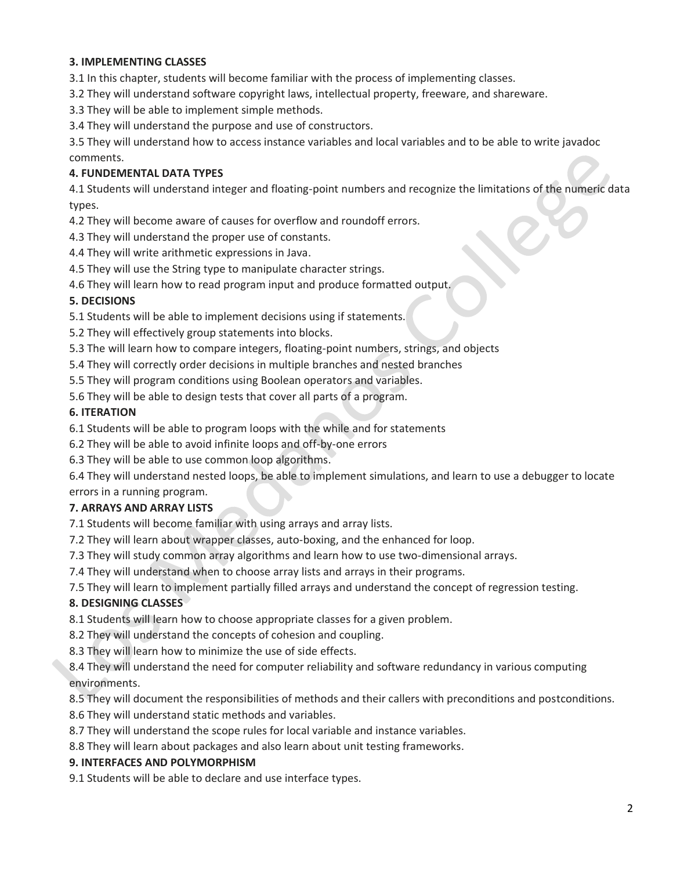#### **3. IMPLEMENTING CLASSES**

3.1 In this chapter, students will become familiar with the process of implementing classes.

3.2 They will understand software copyright laws, intellectual property, freeware, and shareware.

3.3 They will be able to implement simple methods.

3.4 They will understand the purpose and use of constructors.

3.5 They will understand how to access instance variables and local variables and to be able to write javadoc comments.

#### **4. FUNDEMENTAL DATA TYPES**

4.1 Students will understand integer and floating-point numbers and recognize the limitations of the numeric data types.

4.2 They will become aware of causes for overflow and roundoff errors.

4.3 They will understand the proper use of constants.

4.4 They will write arithmetic expressions in Java.

4.5 They will use the String type to manipulate character strings.

4.6 They will learn how to read program input and produce formatted output.

### **5. DECISIONS**

5.1 Students will be able to implement decisions using if statements.

5.2 They will effectively group statements into blocks.

5.3 The will learn how to compare integers, floating-point numbers, strings, and objects

5.4 They will correctly order decisions in multiple branches and nested branches

5.5 They will program conditions using Boolean operators and variables.

5.6 They will be able to design tests that cover all parts of a program.

#### **6. ITERATION**

6.1 Students will be able to program loops with the while and for statements

6.2 They will be able to avoid infinite loops and off-by-one errors

6.3 They will be able to use common loop algorithms.

6.4 They will understand nested loops, be able to implement simulations, and learn to use a debugger to locate errors in a running program.

### **7. ARRAYS AND ARRAY LISTS**

7.1 Students will become familiar with using arrays and array lists.

7.2 They will learn about wrapper classes, auto-boxing, and the enhanced for loop.

7.3 They will study common array algorithms and learn how to use two-dimensional arrays.

7.4 They will understand when to choose array lists and arrays in their programs.

7.5 They will learn to implement partially filled arrays and understand the concept of regression testing.

### **8. DESIGNING CLASSES**

8.1 Students will learn how to choose appropriate classes for a given problem.

8.2 They will understand the concepts of cohesion and coupling.

8.3 They will learn how to minimize the use of side effects.

8.4 They will understand the need for computer reliability and software redundancy in various computing environments.

8.5 They will document the responsibilities of methods and their callers with preconditions and postconditions.

8.6 They will understand static methods and variables.

8.7 They will understand the scope rules for local variable and instance variables.

8.8 They will learn about packages and also learn about unit testing frameworks.

#### **9. INTERFACES AND POLYMORPHISM**

9.1 Students will be able to declare and use interface types.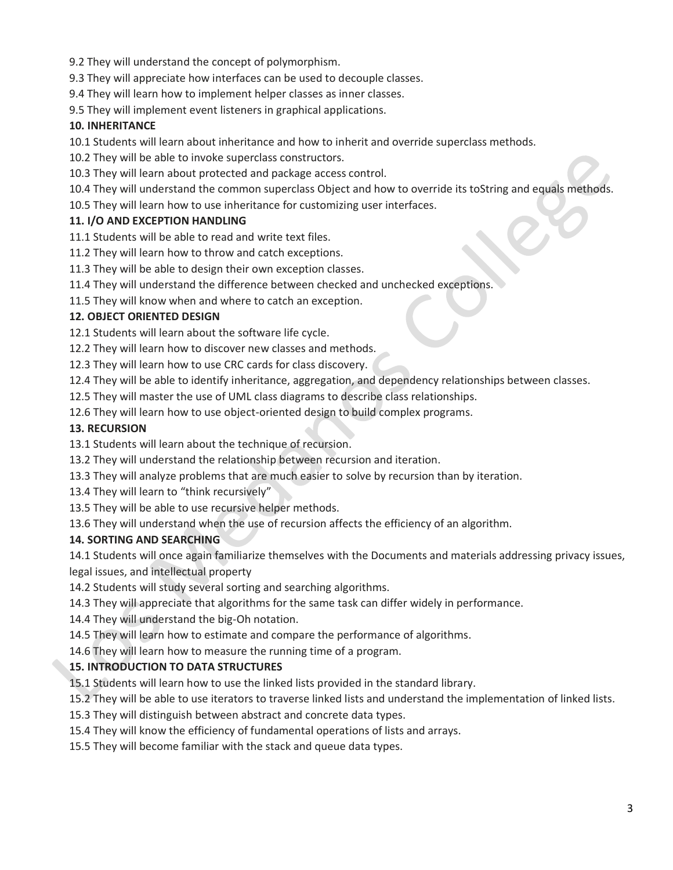- 9.2 They will understand the concept of polymorphism.
- 9.3 They will appreciate how interfaces can be used to decouple classes.
- 9.4 They will learn how to implement helper classes as inner classes.

9.5 They will implement event listeners in graphical applications.

### **10. INHERITANCE**

- 10.1 Students will learn about inheritance and how to inherit and override superclass methods.
- 10.2 They will be able to invoke superclass constructors.
- 10.3 They will learn about protected and package access control.
- 10.4 They will understand the common superclass Object and how to override its toString and equals methods.
- 10.5 They will learn how to use inheritance for customizing user interfaces.

### **11. I/O AND EXCEPTION HANDLING**

- 11.1 Students will be able to read and write text files.
- 11.2 They will learn how to throw and catch exceptions.
- 11.3 They will be able to design their own exception classes.
- 11.4 They will understand the difference between checked and unchecked exceptions.
- 11.5 They will know when and where to catch an exception.

#### **12. OBJECT ORIENTED DESIGN**

12.1 Students will learn about the software life cycle.

12.2 They will learn how to discover new classes and methods.

12.3 They will learn how to use CRC cards for class discovery.

- 12.4 They will be able to identify inheritance, aggregation, and dependency relationships between classes.
- 12.5 They will master the use of UML class diagrams to describe class relationships.

12.6 They will learn how to use object-oriented design to build complex programs.

#### **13. RECURSION**

13.1 Students will learn about the technique of recursion.

13.2 They will understand the relationship between recursion and iteration.

13.3 They will analyze problems that are much easier to solve by recursion than by iteration.

- 13.4 They will learn to "think recursively"
- 13.5 They will be able to use recursive helper methods.

13.6 They will understand when the use of recursion affects the efficiency of an algorithm.

### **14. SORTING AND SEARCHING**

14.1 Students will once again familiarize themselves with the Documents and materials addressing privacy issues, legal issues, and intellectual property

14.2 Students will study several sorting and searching algorithms.

14.3 They will appreciate that algorithms for the same task can differ widely in performance.

14.4 They will understand the big-Oh notation.

14.5 They will learn how to estimate and compare the performance of algorithms.

14.6 They will learn how to measure the running time of a program.

### **15. INTRODUCTION TO DATA STRUCTURES**

15.1 Students will learn how to use the linked lists provided in the standard library.

15.2 They will be able to use iterators to traverse linked lists and understand the implementation of linked lists.

- 15.3 They will distinguish between abstract and concrete data types.
- 15.4 They will know the efficiency of fundamental operations of lists and arrays.

15.5 They will become familiar with the stack and queue data types.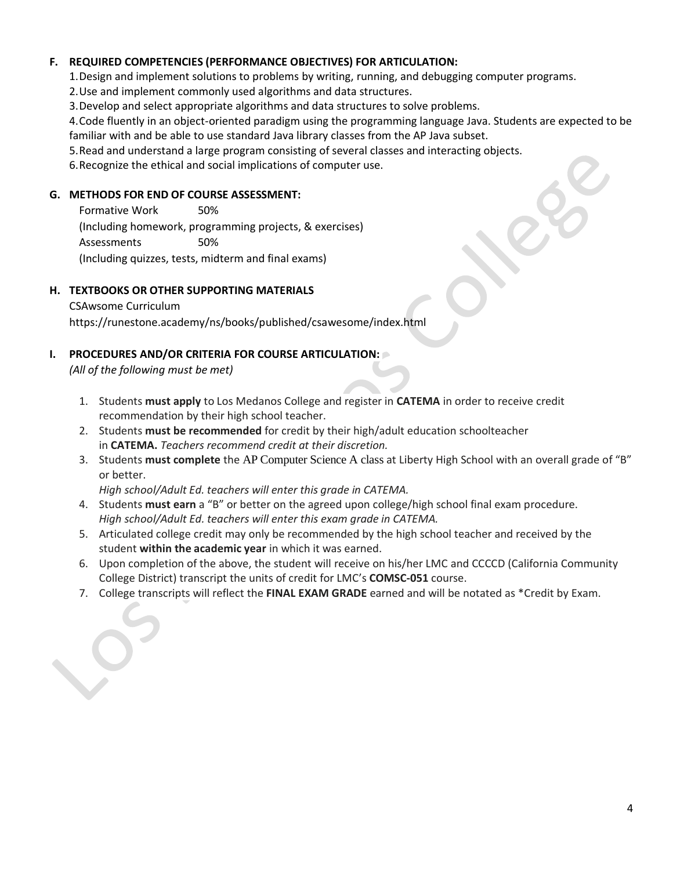#### **F. REQUIRED COMPETENCIES (PERFORMANCE OBJECTIVES) FOR ARTICULATION:**

1.Design and implement solutions to problems by writing, running, and debugging computer programs.

2.Use and implement commonly used algorithms and data structures.

3.Develop and select appropriate algorithms and data structures to solve problems.

4.Code fluently in an object-oriented paradigm using the programming language Java. Students are expected to be familiar with and be able to use standard Java library classes from the AP Java subset.

5.Read and understand a large program consisting of several classes and interacting objects.

6.Recognize the ethical and social implications of computer use.

#### **G. METHODS FOR END OF COURSE ASSESSMENT:**

Formative Work 50% (Including homework, programming projects, & exercises) Assessments 50% (Including quizzes, tests, midterm and final exams)

#### **H. TEXTBOOKS OR OTHER SUPPORTING MATERIALS**

CSAwsome Curriculum https://runestone.academy/ns/books/published/csawesome/index.html

#### **I. PROCEDURES AND/OR CRITERIA FOR COURSE ARTICULATION:**

*(All of the following must be met)*

- 1. Students **must apply** to Los Medanos College and register in **CATEMA** in order to receive credit recommendation by their high school teacher.
- 2. Students **must be recommended** for credit by their high/adult education schoolteacher in **CATEMA.** *Teachers recommend credit at their discretion.*
- 3. Students **must complete** the AP Computer Science A class at Liberty High School with an overall grade of "B" or better.

*High school/Adult Ed. teachers will enter this grade in CATEMA.*

- 4. Students **must earn** a "B" or better on the agreed upon college/high school final exam procedure. *High school/Adult Ed. teachers will enter this exam grade in CATEMA.*
- 5. Articulated college credit may only be recommended by the high school teacher and received by the student **within the academic year** in which it was earned.
- 6. Upon completion of the above, the student will receive on his/her LMC and CCCCD (California Community College District) transcript the units of credit for LMC's **COMSC-051** course.
- 7. College transcripts will reflect the **FINAL EXAM GRADE** earned and will be notated as \*Credit by Exam.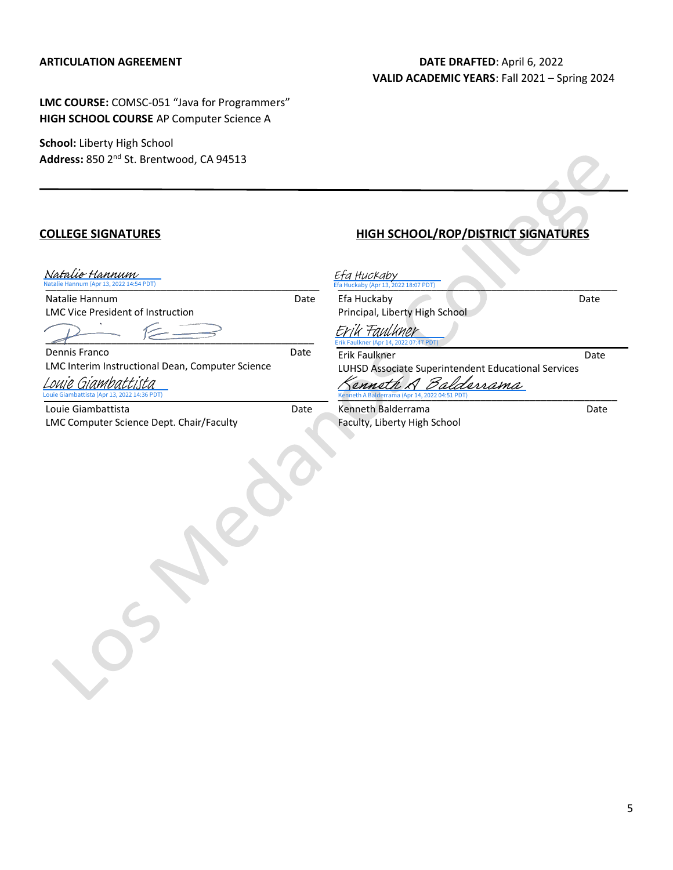#### **ARTICULATION AGREEMENT DATE DRAFTED**: April 6, 2022 **VALID ACADEMIC YEARS**: Fall 2021 – Spring 2024

**LMC COURSE:** COMSC-051 "Java for Programmers" **HIGH SCHOOL COURSE** AP Computer Science A

**School:** Liberty High School **Address:** 850 2nd St. Brentwood, CA 94513

### **COLLEGE SIGNATURES HIGH SCHOOL/ROP/DISTRICT SIGNATURES**

[\\_\\_\\_\\_\\_\\_\\_\\_\\_\\_\\_\\_\\_\\_\\_\\_\\_\\_\\_\\_\\_\\_\\_\\_\\_\\_\\_\\_\\_\\_\\_\\_\\_\\_\\_\\_\\_\\_\\_\\_\\_\\_\\_](https://lmck-12partnership.na2.echosign.com/verifier?tx=CBJCHBCAABAAroUj38wDProSt6gHX72ASCSRCvXlX80y)\_\_\_\_\_\_\_ Natalie Hannum (Apr 13, 2022 14:54 PDT) Natalie Hannum

Natalie Hannum Date LMC Vice President of Instruction

 $\overline{\mathcal{A}}$  ,  $\overline{\mathcal{A}}$  ,  $\overline{\mathcal{A}}$  ,  $\overline{\mathcal{A}}$  ,  $\overline{\mathcal{A}}$  ,  $\overline{\mathcal{A}}$  ,  $\overline{\mathcal{A}}$  ,  $\overline{\mathcal{A}}$  ,  $\overline{\mathcal{A}}$  ,  $\overline{\mathcal{A}}$  ,  $\overline{\mathcal{A}}$  ,  $\overline{\mathcal{A}}$  ,  $\overline{\mathcal{A}}$  ,  $\overline{\mathcal{A}}$  ,  $\overline{\mathcal{A}}$  ,  $\overline{\mathcal{A}}$ 

Dennis Franco **Date** LMC Interim Instructional Dean, Computer Science

attista (Apr 13, 2022 14:36 PDT [Louie Giambattista](https://lmck-12partnership.na2.echosign.com/verifier?tx=CBJCHBCAABAAroUj38wDProSt6gHX72ASCSRCvXlX80y)

Louie Giambattista **Date** LMC Computer Science Dept. Chair/Faculty

| <u>Efa Huckaby</u><br>Efa Huckaby (Apr 13, 2022 18:07 PDT)            |      |
|-----------------------------------------------------------------------|------|
| Efa Huckaby                                                           | Date |
| Principal, Liberty High School                                        |      |
| Erik Faulkner<br>Erik Faulkner (Apr 14, 2022 07:47 PDT)               |      |
| Erik Faulkner                                                         | Date |
| LUHSD Associate Superintendent Educational Services                   |      |
| Kenneth A Balderrama<br>Kenneth A Balderrama (Apr 14, 2022 04:51 PDT) |      |
| Kenneth Balderrama                                                    | Date |

Faculty, Liberty High School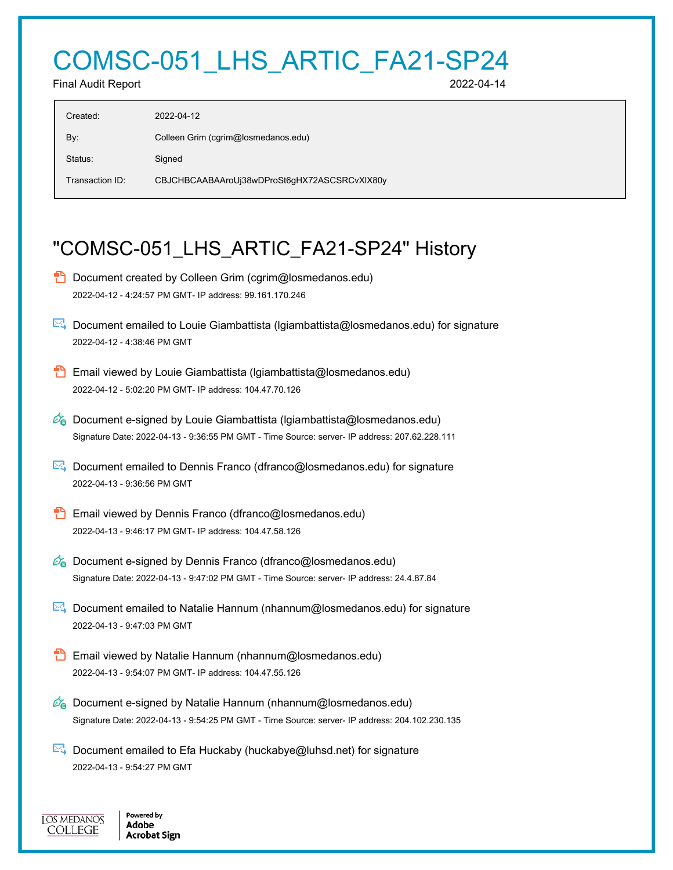# COMSC-051\_LHS\_ARTIC\_FA21-SP24

Final Audit Report 2022-04-14

| Created:        | 2022-04-12                                   |
|-----------------|----------------------------------------------|
| By:             | Colleen Grim (cgrim@losmedanos.edu)          |
| Status:         | Signed                                       |
| Transaction ID: | CBJCHBCAABAAroUj38wDProSt6gHX72ASCSRCvXIX80y |

## "COMSC-051\_LHS\_ARTIC\_FA21-SP24" History

- **D** Document created by Colleen Grim (cgrim@losmedanos.edu) 2022-04-12 - 4:24:57 PM GMT- IP address: 99.161.170.246
- Document emailed to Louie Giambattista (lgiambattista@losmedanos.edu) for signature 2022-04-12 - 4:38:46 PM GMT
- Email viewed by Louie Giambattista (Igiambattista@losmedanos.edu) 2022-04-12 - 5:02:20 PM GMT- IP address: 104.47.70.126
- $\mathcal{O}_0$  Document e-signed by Louie Giambattista (Igiambattista@losmedanos.edu) Signature Date: 2022-04-13 - 9:36:55 PM GMT - Time Source: server- IP address: 207.62.228.111
- **E**. Document emailed to Dennis Franco (dfranco@losmedanos.edu) for signature 2022-04-13 - 9:36:56 PM GMT
- **Email viewed by Dennis Franco (dfranco@losmedanos.edu)** 2022-04-13 - 9:46:17 PM GMT- IP address: 104.47.58.126
- $\mathscr{O}_0$  Document e-signed by Dennis Franco (dfranco@losmedanos.edu) Signature Date: 2022-04-13 - 9:47:02 PM GMT - Time Source: server- IP address: 24.4.87.84
- Document emailed to Natalie Hannum (nhannum@losmedanos.edu) for signature 2022-04-13 - 9:47:03 PM GMT
- **Email viewed by Natalie Hannum (nhannum@losmedanos.edu)** 2022-04-13 - 9:54:07 PM GMT- IP address: 104.47.55.126
- $\mathscr{O}_\blacksquare$  Document e-signed by Natalie Hannum (nhannum@losmedanos.edu) Signature Date: 2022-04-13 - 9:54:25 PM GMT - Time Source: server- IP address: 204.102.230.135
- $\mathbb{R}$  Document emailed to Efa Huckaby (huckabye@luhsd.net) for signature 2022-04-13 - 9:54:27 PM GMT

Powered by **JOS MEDANOS** Adobe **COLLEGE Acrobat Sign**